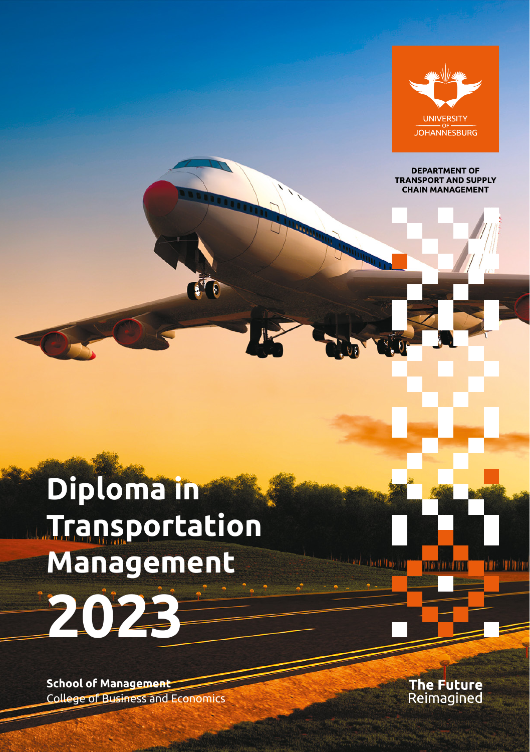

**DEPARTMENT OF TRANSPORT AND SUPPLY CHAIN MANAGEMENT** 

# **Diploma in Transportation Management 2023**

**School of Management** College of Business and Economics The Future<br>Reimagined

**YOU OF REE** 

rin Tinov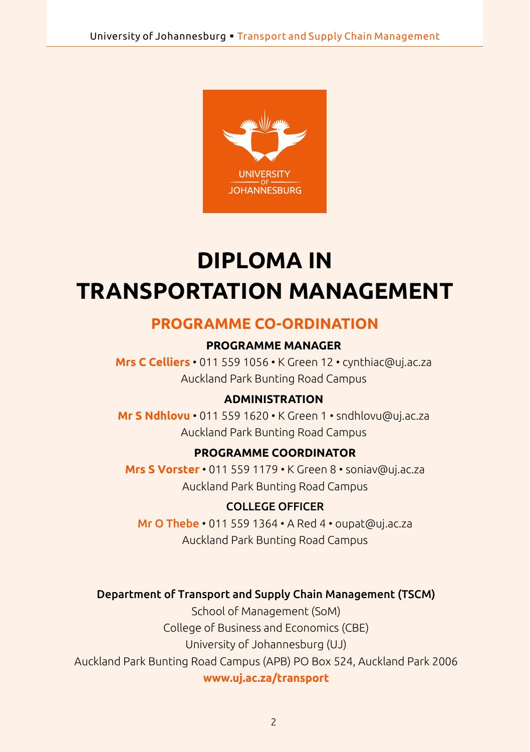

## **DIPLOMA IN TRANSPORTATION MANAGEMENT**

## **PROGRAMME CO-ORDINATION**

#### **PROGRAMME MANAGER**

**Mrs C Celliers** • 011 559 1056 • K Green 12 • [cynthiac@uj.ac.za](mailto:cynthiac@uj.ac.za) Auckland Park Bunting Road Campus

#### **ADMINISTRATION**

**Mr S Ndhlovu** • 011 559 1620 • K Green 1 • [sndhlovu@uj.ac.za](mailto:sndhlovu@uj.ac.za) Auckland Park Bunting Road Campus

#### **PROGRAMME COORDINATOR**

**Mrs S Vorster** • 011 559 1179 • K Green 8 • [soniav@uj.ac.za](mailto:soniav@uj.ac.za) Auckland Park Bunting Road Campus

#### COLLEGE OFFICER

Mr O Thebe • 011 559 1364 • A Red 4 • oupat@uj.ac.za Auckland Park Bunting Road Campus

#### Department of Transport and Supply Chain Management (TSCM)

School of Management (SoM) College of Business and Economics (CBE) University of Johannesburg (UJ) Auckland Park Bunting Road Campus (APB) PO Box 524, Auckland Park 2006 **www.uj.ac.za/transport**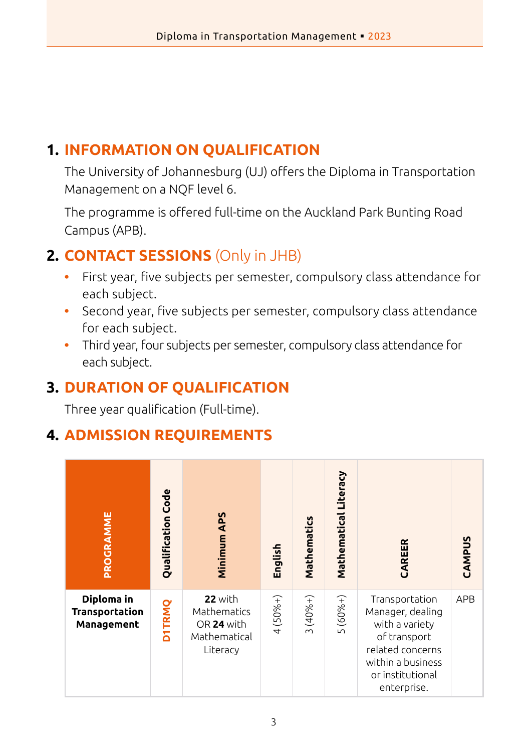## **1. INFORMATION ON QUALIFICATION**

The University of Johannesburg (UJ) offers the Diploma in Transportation Management on a NQF level 6.

The programme is offered full-time on the Auckland Park Bunting Road Campus (APB).

## **2. CONTACT SESSIONS** (Only in JHB)

- **•** First year, five subjects per semester, compulsory class attendance for each subject.
- **•** Second year, five subjects per semester, compulsory class attendance for each subject.
- **•** Third year, four subjects per semester, compulsory class attendance for each subject.

## **3. DURATION OF QUALIFICATION**

Three year qualification (Full-time).

## **4. ADMISSION REQUIREMENTS**

| PROGRAMME                                  | Qualification Code | Minimum APS                                                      | English     | Mathematics        | Mathematical Literacy  | CAREER                                                                                                                                           | CAMPUS     |
|--------------------------------------------|--------------------|------------------------------------------------------------------|-------------|--------------------|------------------------|--------------------------------------------------------------------------------------------------------------------------------------------------|------------|
| Diploma in<br>Transportation<br>Management | <b>DITRMQ</b>      | 22 with<br>Mathematics<br>OR 24 with<br>Mathematical<br>Literacy | $4(50% + )$ | $(40%+)$<br>$\sim$ | $(60%+)$<br>$\sqrt{ }$ | Transportation<br>Manager, dealing<br>with a variety<br>of transport<br>related concerns<br>within a business<br>or institutional<br>enterprise. | <b>APB</b> |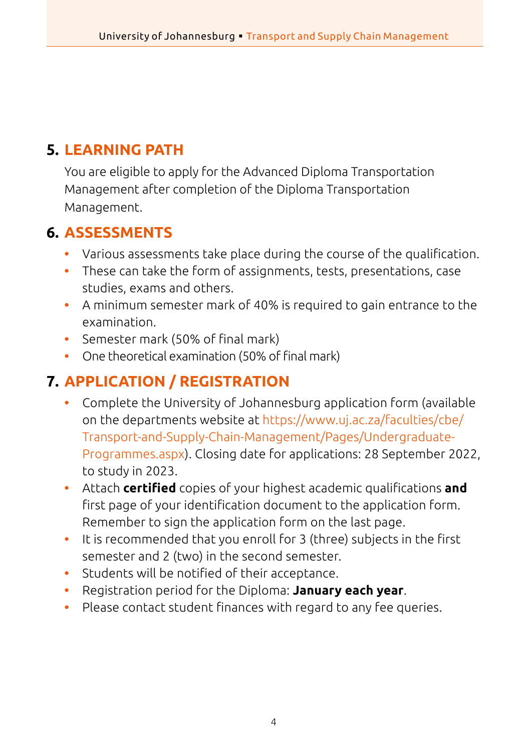## **5. LEARNING PATH**

You are eligible to apply for the Advanced Diploma Transportation Management after completion of the Diploma Transportation Management.

## **6. ASSESSMENTS**

- **•** Various assessments take place during the course of the qualification.
- **•** These can take the form of assignments, tests, presentations, case studies, exams and others.
- **•** A minimum semester mark of 40% is required to gain entrance to the examination.
- **•** Semester mark (50% of final mark)
- **•** One theoretical examination (50% of final mark)

## **7. APPLICATION / REGISTRATION**

- **•** Complete the University of Johannesburg application form (available on the departments website at [https://www.uj.ac.za/faculties/cbe/](https://www.uj.ac.za/faculties/cbe/Transport-and-Supply-Chain-Management/Pages/Undergraduate-Programmes.aspx) [Transport-and-Supply-Chain-Management/Pages/Undergraduate-](https://www.uj.ac.za/faculties/cbe/Transport-and-Supply-Chain-Management/Pages/Undergraduate-Programmes.aspx)[Programmes.aspx](https://www.uj.ac.za/faculties/cbe/Transport-and-Supply-Chain-Management/Pages/Undergraduate-Programmes.aspx)). Closing date for applications: 28 September 2022, to study in 2023.
- **•** Attach **certified** copies of your highest academic qualifications **and** first page of your identification document to the application form. Remember to sign the application form on the last page.
- **•** It is recommended that you enroll for 3 (three) subjects in the first semester and 2 (two) in the second semester.
- **•** Students will be notified of their acceptance.
- **•** Registration period for the Diploma: **January each year**.
- **•** Please contact student finances with regard to any fee queries.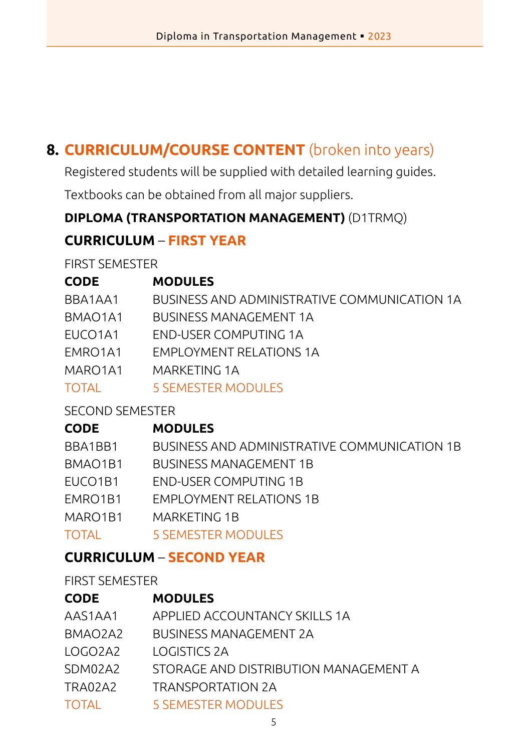## **8. CURRICULUM/COURSE CONTENT** (broken into years)

Registered students will be supplied with detailed learning guides.

Textbooks can be obtained from all major suppliers.

#### **DIPLOMA (TRANSPORTATION MANAGEMENT)** (D1TRMQ)

## **CURRICULUM** – **FIRST YEAR**

FIRST SEMESTER

| <b>CODE</b>                      | <b>MODULES</b>                               |
|----------------------------------|----------------------------------------------|
| BBA1AA1                          | BUSINESS AND ADMINISTRATIVE COMMUNICATION 1A |
| BMAO <sub>1</sub> A <sub>1</sub> | <b>BUSINESS MANAGEMENT 1A</b>                |
| EUCO <sub>1</sub> A <sub>1</sub> | END-USER COMPUTING 1A                        |
| EMRO1A1                          | <b>EMPLOYMENT RELATIONS 1A</b>               |
| MARO1A1                          | MARKETING 1A                                 |
| TOTAL                            | 5 SEMESTER MODULES                           |
|                                  |                                              |

#### SECOND SEMESTER

## **CODE MODULES** BBA1BB1 BUSINESS AND ADMINISTRATIVE COMMUNICATION 1B BMAO1B1 BUSINESS MANAGEMENT 1B EUCO1B1 END-USER COMPUTING 1B EMRO1B1 EMPLOYMENT RELATIONS 1B MARO1B1 MARKETING 1B TOTAL 5 SEMESTER MODULES

## **CURRICULUM** – **SECOND YEAR**

FIRST SEMESTER

| <b>CODE</b>  | <b>MODULES</b>                        |
|--------------|---------------------------------------|
| AAS1AA1      | APPLIED ACCOUNTANCY SKILLS 1A         |
| BMAO2A2      | <b>BUSINESS MANAGEMENT 2A</b>         |
| LOGO2A2      | LOGISTICS 2A                          |
| SDM02A2      | STORAGE AND DISTRIBUTION MANAGEMENT A |
| TRA02A2      | TRANSPORTATION 2A                     |
| <b>TOTAL</b> | <b>5 SEMESTER MODULES</b>             |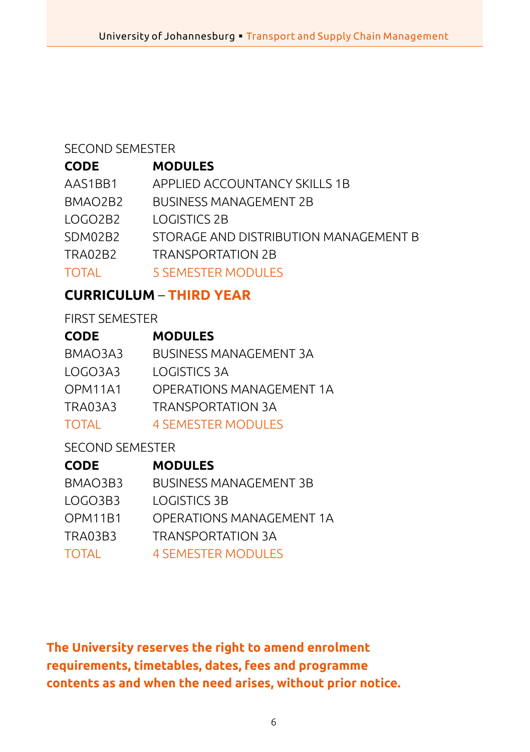#### SECOND SEMESTER

#### **CODE MODULES**

| AAS1BB1      | APPLIED ACCOUNTANCY SKILLS 1B         |
|--------------|---------------------------------------|
| BMAO2B2      | <b>BUSINESS MANAGEMENT 2B</b>         |
| LOGO2B2      | LOGISTICS 2B                          |
| SDM02B2      | STORAGE AND DISTRIBUTION MANAGEMENT B |
| TRA02B2      | TRANSPORTATION 2B                     |
| <b>TOTAL</b> | <b>5 SEMESTER MODULES</b>             |

## **CURRICULUM** – **THIRD YEAR**

#### FIRST SEMESTER

| <b>CODE</b> | <b>MODULES</b>           |
|-------------|--------------------------|
| BMAO3A3     | BUSINESS MANAGEMENT 3A   |
| LOGO3A3     | LOGISTICS 3A             |
| OPM11A1     | OPFRATIONS MANAGEMENT 1A |
| TRA03A3     | TRANSPORTATION 3A        |
|             |                          |

## TOTAL 4 SEMESTER MODULES

## SECOND SEMESTER

| <b>CODE</b> | <b>MODULES</b>                |
|-------------|-------------------------------|
| BMAO3B3     | <b>BUSINESS MANAGEMENT 3B</b> |
| LOGO3B3     | LOGISTICS 3B                  |
| OPM11B1     | OPERATIONS MANAGEMENT 1A      |
| TRA03B3     | <b>TRANSPORTATION 3A</b>      |
| TOTAI       | <b>4 SEMESTER MODULES</b>     |

**The University reserves the right to amend enrolment requirements, timetables, dates, fees and programme contents as and when the need arises, without prior notice.**